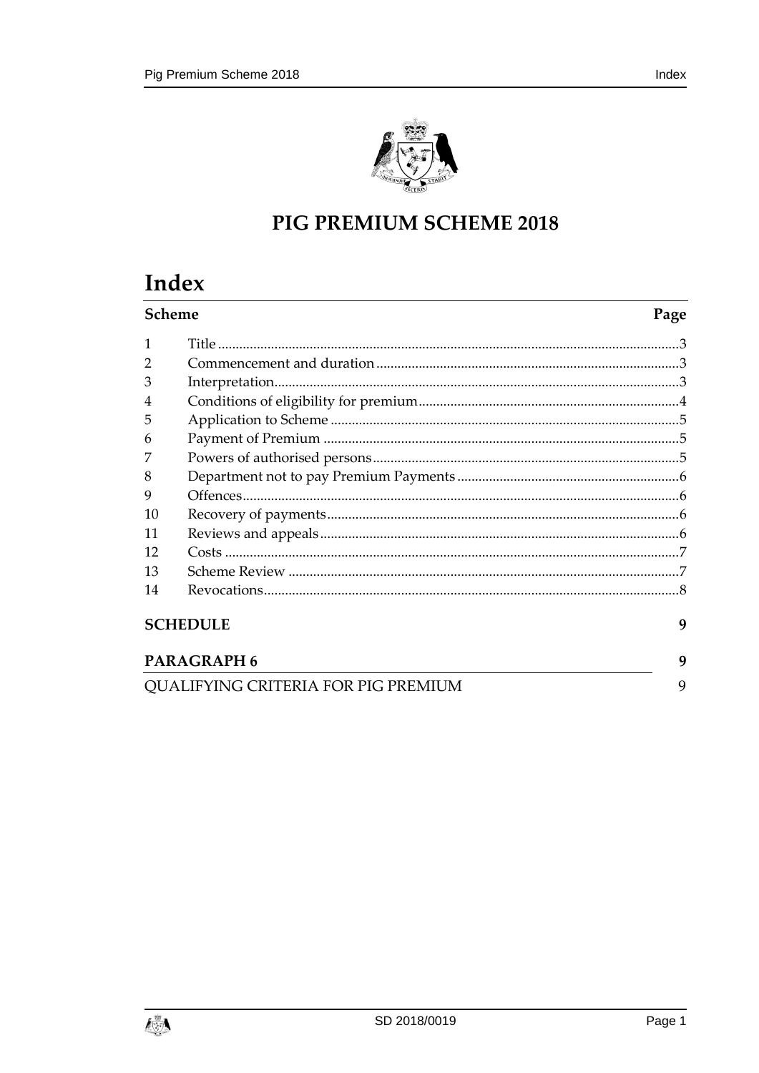

# PIG PREMIUM SCHEME 2018

# Index

| Scheme            |                                            |   |
|-------------------|--------------------------------------------|---|
|                   |                                            |   |
|                   |                                            |   |
| З                 |                                            |   |
| 4                 |                                            |   |
| 5                 |                                            |   |
| 6                 |                                            |   |
|                   |                                            |   |
| 8                 |                                            |   |
| 9                 |                                            |   |
| 10                |                                            |   |
| 11                |                                            |   |
| 12                |                                            |   |
| 13                |                                            |   |
| 14                |                                            |   |
| <b>SCHEDULE</b>   |                                            |   |
| <b>PARAGRAPH6</b> |                                            |   |
|                   | <b>OUALIFYING CRITERIA FOR PIG PREMIUM</b> | 9 |

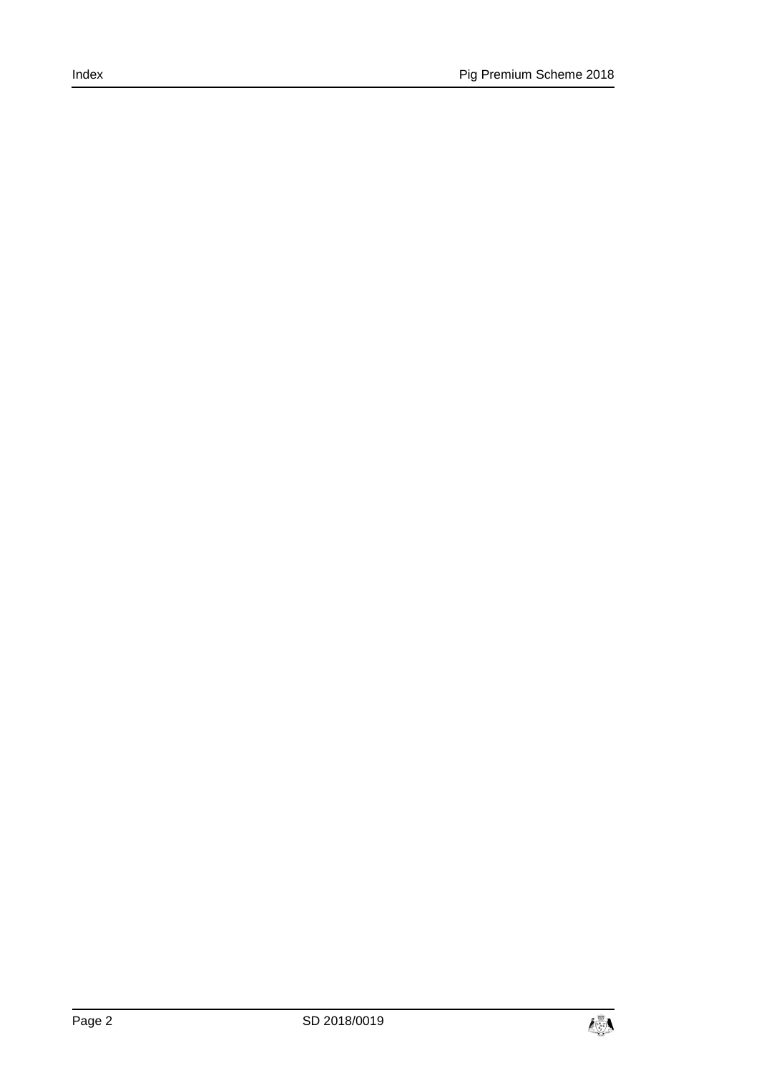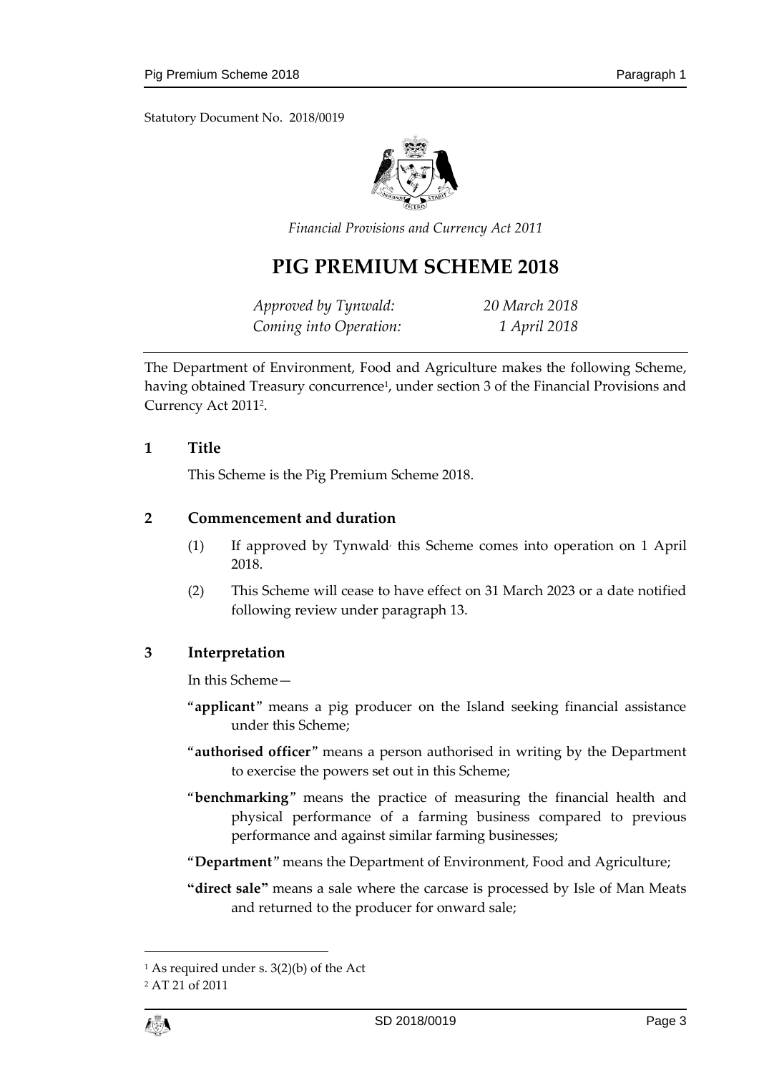Statutory Document No. 2018/0019



*Financial Provisions and Currency Act 2011*

# **PIG PREMIUM SCHEME 2018**

*Approved by Tynwald: 20 March 2018 Coming into Operation: 1 April 2018*

The Department of Environment, Food and Agriculture makes the following Scheme, having obtained Treasury concurrence<sup>1</sup>, under section 3 of the Financial Provisions and Currency Act 2011<sup>2</sup> .

## <span id="page-2-0"></span>**1 Title**

This Scheme is the Pig Premium Scheme 2018.

## <span id="page-2-1"></span>**2 Commencement and duration**

- (1) If approved by Tynwald, this Scheme comes into operation on 1 April 2018.
- (2) This Scheme will cease to have effect on 31 March 2023 or a date notified following review under paragraph 13.

# <span id="page-2-2"></span>**3 Interpretation**

In this Scheme—

- "**applicant**" means a pig producer on the Island seeking financial assistance under this Scheme;
- "**authorised officer**" means a person authorised in writing by the Department to exercise the powers set out in this Scheme;
- "**benchmarking**" means the practice of measuring the financial health and physical performance of a farming business compared to previous performance and against similar farming businesses;
- "**Department**" means the Department of Environment, Food and Agriculture;
- **"direct sale"** means a sale where the carcase is processed by Isle of Man Meats and returned to the producer for onward sale;

 $\overline{a}$ 

<sup>1</sup> As required under s. 3(2)(b) of the Act

<sup>2</sup> AT 21 of 2011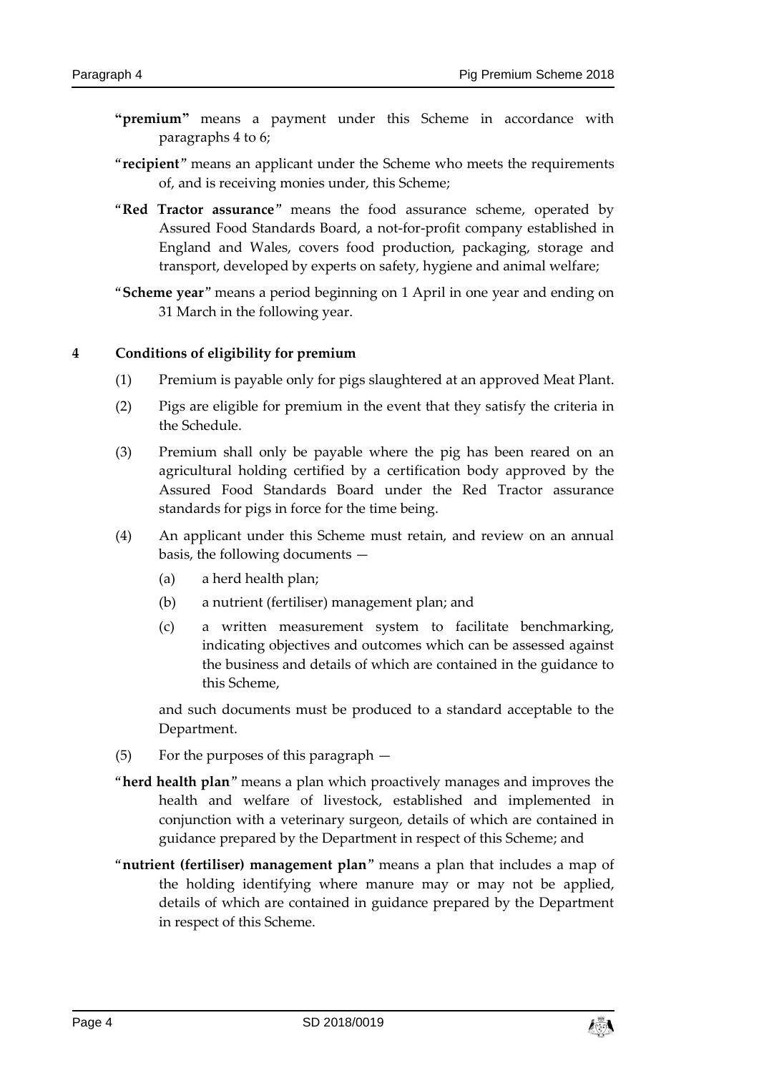- **"premium"** means a payment under this Scheme in accordance with paragraphs 4 to 6;
- "**recipient**" means an applicant under the Scheme who meets the requirements of, and is receiving monies under, this Scheme;
- "**Red Tractor assurance**" means the food assurance scheme, operated by Assured Food Standards Board, a not-for-profit company established in England and Wales, covers food production, packaging, storage and transport, developed by experts on safety, hygiene and animal welfare;
- "**Scheme year**" means a period beginning on 1 April in one year and ending on 31 March in the following year.

## <span id="page-3-0"></span>**4 Conditions of eligibility for premium**

- (1) Premium is payable only for pigs slaughtered at an approved Meat Plant.
- (2) Pigs are eligible for premium in the event that they satisfy the criteria in the Schedule.
- (3) Premium shall only be payable where the pig has been reared on an agricultural holding certified by a certification body approved by the Assured Food Standards Board under the Red Tractor assurance standards for pigs in force for the time being.
- (4) An applicant under this Scheme must retain, and review on an annual basis, the following documents —
	- (a) a herd health plan;
	- (b) a nutrient (fertiliser) management plan; and
	- (c) a written measurement system to facilitate benchmarking, indicating objectives and outcomes which can be assessed against the business and details of which are contained in the guidance to this Scheme,

and such documents must be produced to a standard acceptable to the Department.

- (5) For the purposes of this paragraph —
- "**herd health plan**" means a plan which proactively manages and improves the health and welfare of livestock, established and implemented in conjunction with a veterinary surgeon, details of which are contained in guidance prepared by the Department in respect of this Scheme; and
- "**nutrient (fertiliser) management plan**" means a plan that includes a map of the holding identifying where manure may or may not be applied, details of which are contained in guidance prepared by the Department in respect of this Scheme.

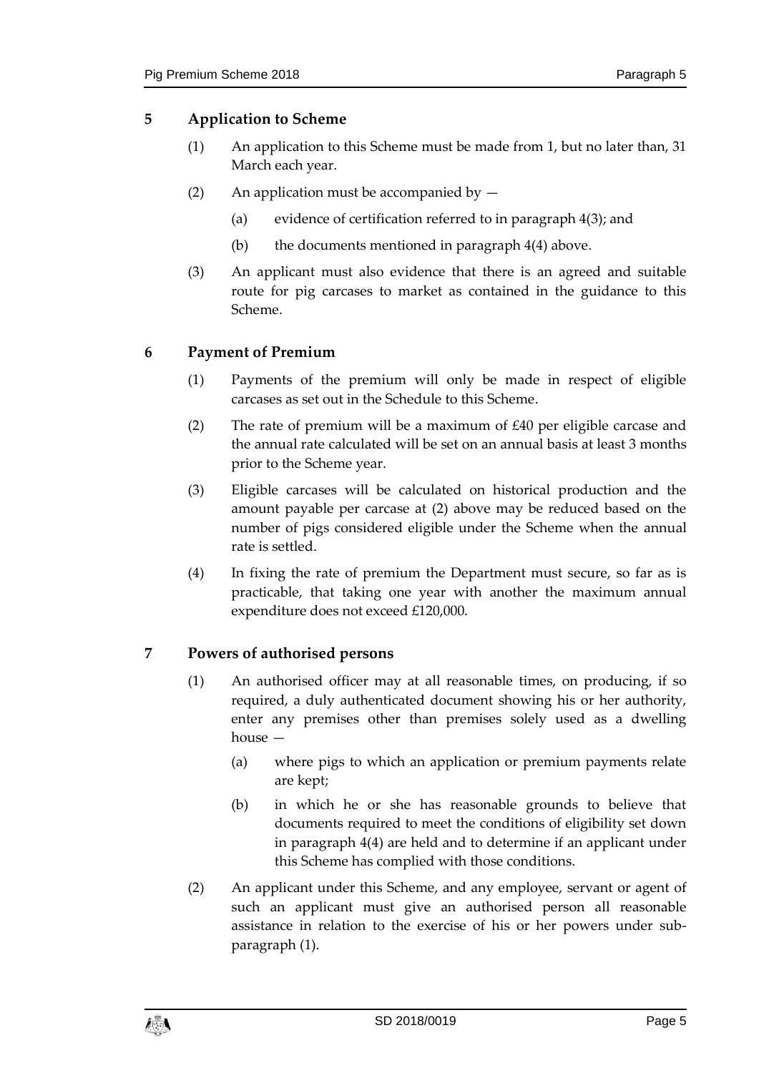- <span id="page-4-0"></span>(1) An application to this Scheme must be made from 1, but no later than, 31 March each year.
- (2) An application must be accompanied by  $-$ 
	- (a) evidence of certification referred to in paragraph 4(3); and
	- (b) the documents mentioned in paragraph  $4(4)$  above.
- (3) An applicant must also evidence that there is an agreed and suitable route for pig carcases to market as contained in the guidance to this Scheme.

# <span id="page-4-1"></span>**6 Payment of Premium**

- (1) Payments of the premium will only be made in respect of eligible carcases as set out in the Schedule to this Scheme.
- (2) The rate of premium will be a maximum of  $\text{\pounds}40$  per eligible carcase and the annual rate calculated will be set on an annual basis at least 3 months prior to the Scheme year.
- (3) Eligible carcases will be calculated on historical production and the amount payable per carcase at (2) above may be reduced based on the number of pigs considered eligible under the Scheme when the annual rate is settled.
- (4) In fixing the rate of premium the Department must secure, so far as is practicable, that taking one year with another the maximum annual expenditure does not exceed £120,000.

# <span id="page-4-2"></span>**7 Powers of authorised persons**

- (1) An authorised officer may at all reasonable times, on producing, if so required, a duly authenticated document showing his or her authority, enter any premises other than premises solely used as a dwelling house —
	- (a) where pigs to which an application or premium payments relate are kept;
	- (b) in which he or she has reasonable grounds to believe that documents required to meet the conditions of eligibility set down in paragraph 4(4) are held and to determine if an applicant under this Scheme has complied with those conditions.
- (2) An applicant under this Scheme, and any employee, servant or agent of such an applicant must give an authorised person all reasonable assistance in relation to the exercise of his or her powers under subparagraph (1).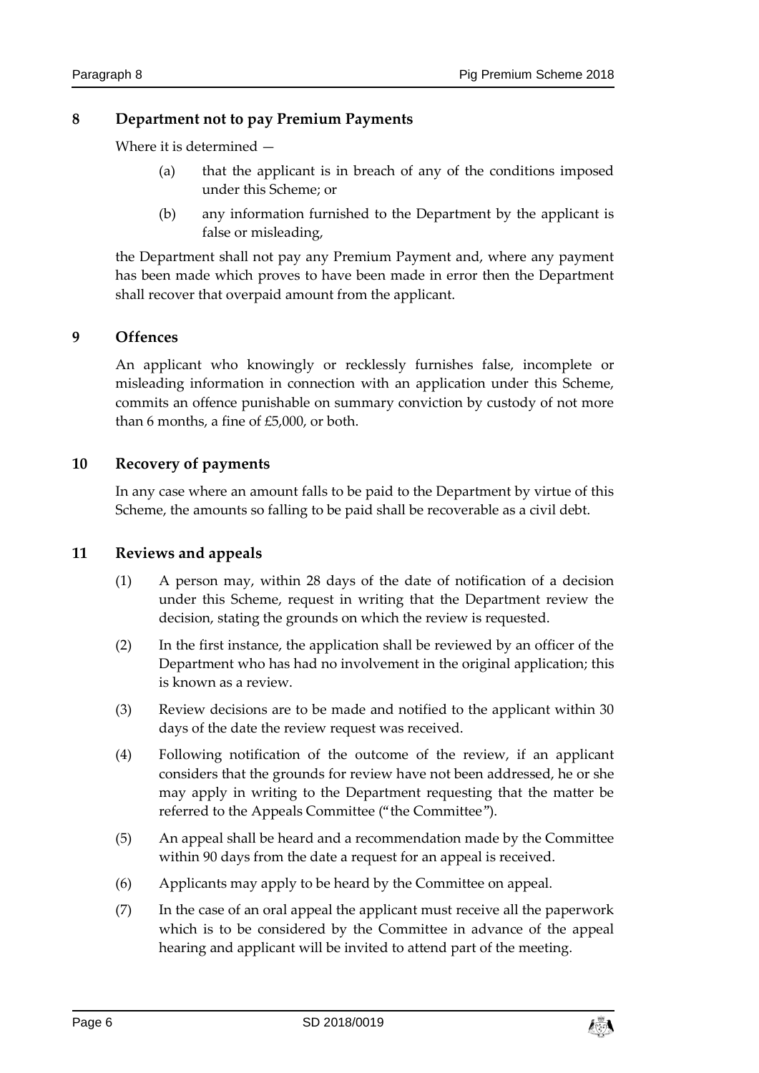# <span id="page-5-0"></span>**8 Department not to pay Premium Payments**

Where it is determined —

- (a) that the applicant is in breach of any of the conditions imposed under this Scheme; or
- (b) any information furnished to the Department by the applicant is false or misleading,

the Department shall not pay any Premium Payment and, where any payment has been made which proves to have been made in error then the Department shall recover that overpaid amount from the applicant.

## <span id="page-5-1"></span>**9 Offences**

An applicant who knowingly or recklessly furnishes false, incomplete or misleading information in connection with an application under this Scheme, commits an offence punishable on summary conviction by custody of not more than 6 months, a fine of £5,000, or both.

## <span id="page-5-2"></span>**10 Recovery of payments**

In any case where an amount falls to be paid to the Department by virtue of this Scheme, the amounts so falling to be paid shall be recoverable as a civil debt.

#### <span id="page-5-3"></span>**11 Reviews and appeals**

- (1) A person may, within 28 days of the date of notification of a decision under this Scheme, request in writing that the Department review the decision, stating the grounds on which the review is requested.
- (2) In the first instance, the application shall be reviewed by an officer of the Department who has had no involvement in the original application; this is known as a review.
- (3) Review decisions are to be made and notified to the applicant within 30 days of the date the review request was received.
- (4) Following notification of the outcome of the review, if an applicant considers that the grounds for review have not been addressed, he or she may apply in writing to the Department requesting that the matter be referred to the Appeals Committee ("the Committee").
- (5) An appeal shall be heard and a recommendation made by the Committee within 90 days from the date a request for an appeal is received.
- (6) Applicants may apply to be heard by the Committee on appeal.
- (7) In the case of an oral appeal the applicant must receive all the paperwork which is to be considered by the Committee in advance of the appeal hearing and applicant will be invited to attend part of the meeting.

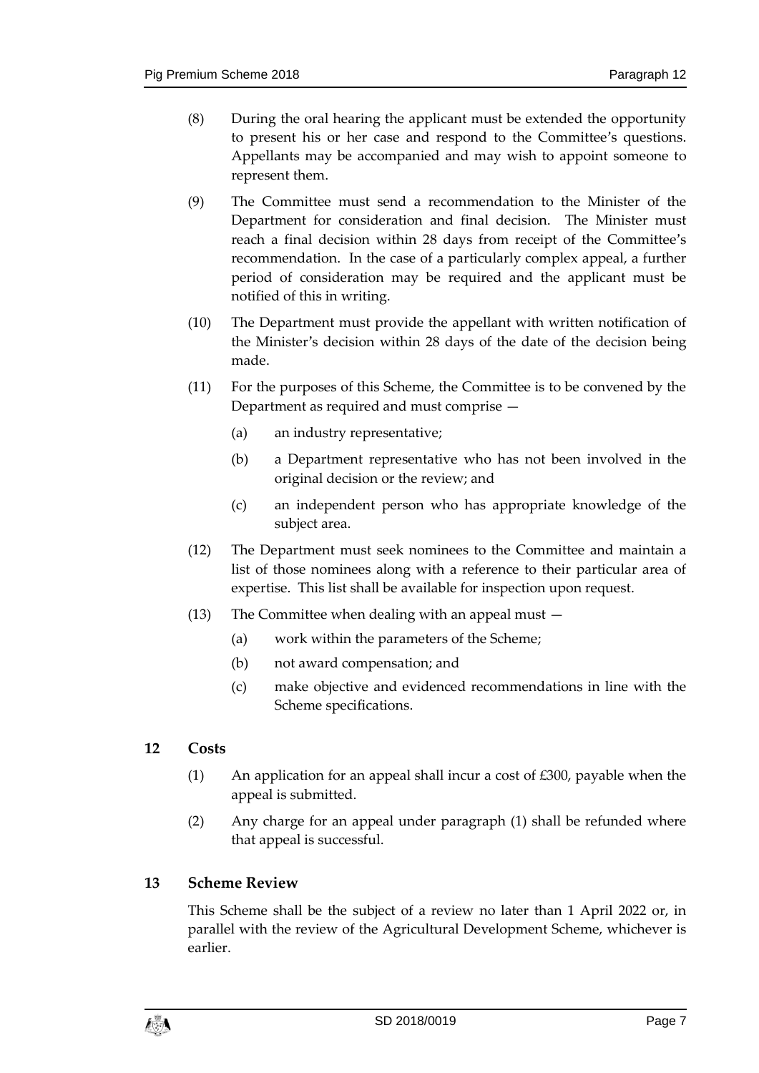- (8) During the oral hearing the applicant must be extended the opportunity to present his or her case and respond to the Committee's questions. Appellants may be accompanied and may wish to appoint someone to represent them.
- (9) The Committee must send a recommendation to the Minister of the Department for consideration and final decision. The Minister must reach a final decision within 28 days from receipt of the Committee's recommendation. In the case of a particularly complex appeal, a further period of consideration may be required and the applicant must be notified of this in writing.
- (10) The Department must provide the appellant with written notification of the Minister's decision within 28 days of the date of the decision being made.
- (11) For the purposes of this Scheme, the Committee is to be convened by the Department as required and must comprise —
	- (a) an industry representative;
	- (b) a Department representative who has not been involved in the original decision or the review; and
	- (c) an independent person who has appropriate knowledge of the subject area.
- (12) The Department must seek nominees to the Committee and maintain a list of those nominees along with a reference to their particular area of expertise. This list shall be available for inspection upon request.
- (13) The Committee when dealing with an appeal must
	- (a) work within the parameters of the Scheme;
	- (b) not award compensation; and
	- (c) make objective and evidenced recommendations in line with the Scheme specifications.

# <span id="page-6-0"></span>**12 Costs**

- (1) An application for an appeal shall incur a cost of £300, payable when the appeal is submitted.
- (2) Any charge for an appeal under paragraph (1) shall be refunded where that appeal is successful.

#### <span id="page-6-1"></span>**13 Scheme Review**

This Scheme shall be the subject of a review no later than 1 April 2022 or, in parallel with the review of the Agricultural Development Scheme, whichever is earlier.

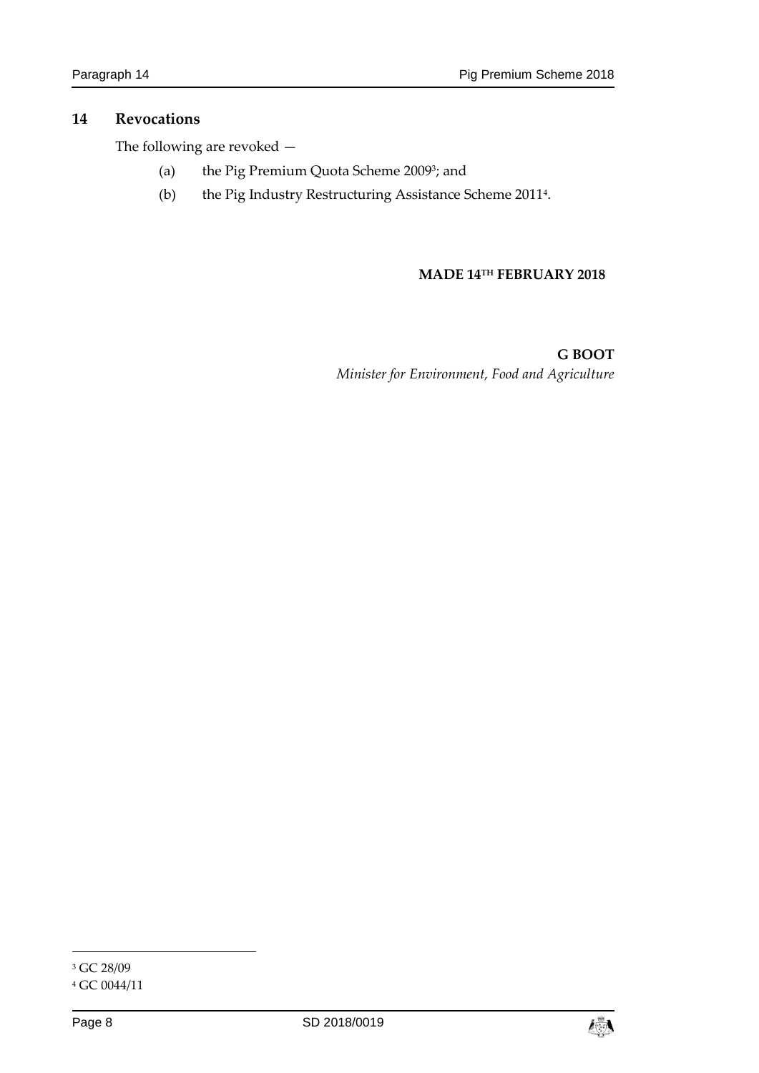# <span id="page-7-0"></span>**14 Revocations**

The following are revoked —

- (a) the Pig Premium Quota Scheme 2009<sup>3</sup>; and
- (b) the Pig Industry Restructuring Assistance Scheme 2011<sup>4</sup> .

#### **MADE 14TH FEBRUARY 2018**

**G BOOT** *Minister for Environment, Food and Agriculture*

-



<sup>3</sup> GC 28/09

<sup>4</sup> GC 0044/11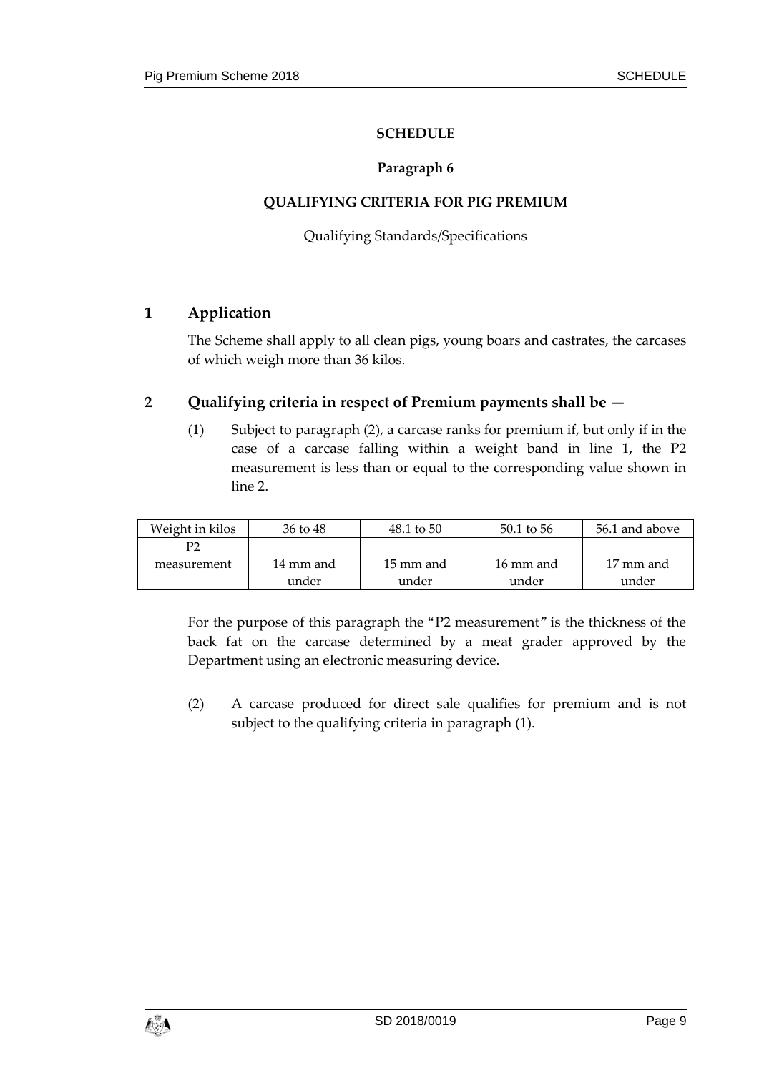#### **SCHEDULE**

## **Paragraph 6**

## <span id="page-8-1"></span><span id="page-8-0"></span>**QUALIFYING CRITERIA FOR PIG PREMIUM**

#### Qualifying Standards/Specifications

# <span id="page-8-2"></span>**1 Application**

The Scheme shall apply to all clean pigs, young boars and castrates, the carcases of which weigh more than 36 kilos.

# **2 Qualifying criteria in respect of Premium payments shall be —**

(1) Subject to paragraph (2), a carcase ranks for premium if, but only if in the case of a carcase falling within a weight band in line 1, the P2 measurement is less than or equal to the corresponding value shown in line 2.

| Weight in kilos | 36 to 48  | 48.1 to 50 | 50.1 to 56 | 56.1 and above |
|-----------------|-----------|------------|------------|----------------|
|                 |           |            |            |                |
| measurement     | 14 mm and | 15 mm and  | 16 mm and  | 17 mm and      |
|                 | under     | under      | under      | under          |

For the purpose of this paragraph the "P2 measurement" is the thickness of the back fat on the carcase determined by a meat grader approved by the Department using an electronic measuring device.

(2) A carcase produced for direct sale qualifies for premium and is not subject to the qualifying criteria in paragraph (1).